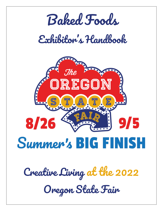

*Creative Living at the 2022 Oregon State Fair*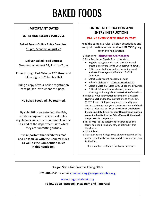# BAKED FOODS

# **IMPORTANT DATES**

# **ENTRY AND RELEASE SCHEDULE**

# **Baked Foods Online Entry Deadline:**

10 pm, Monday, August 22

# **Deliver Baked Food Entries:**

Wednesday, August 24, 2 pm to 7 pm

Enter through Red Gate on 17<sup>th</sup> Street and follow signs to Columbia Hall.

Bring a copy of your online registration receipt (see instructions this page).

# **No Baked Foods will be returned.**

By submitting an entry into the Fair, exhibitors **agree** to abide by all rules, regulations and entry requirements of the Fair and of the department(s) to which they are submitting entries.

**It is important that exhibitors read and be familiar with the General Rules as well as the Competition Rules in this Handbook.**

# **ONLINE REGISTRATION AND ENTRY INSTRUCTIONS**

# **ONLINE ENTRY OPENS JUNE 15, 2022**

Read the complete rules, division descriptions and entry information in this Handbook **BEFORE** going to online Registration.

**1.** Then go to **[http://oregon.fairwire.com](http://oregon.fairwire.com/)**

**2.** Click **Register** or **Sign In** (for return visits).

- Register using your First and Last Name and create a password (write your password down).
- Fill in requested information, including email address. Enter age only if under 18. Click **Continue**.
- Select **Department** ex.: Baked Foods
- Select a **Division** ex.: Cookies, Division 310
- Select a **Class** ex.: Class 3103 Chocolate Brownies
- Fill in all information for class(es) you are entering, including a brief **Description** if needed.
- **3.** When all your information is complete, click **Add Entry to Cart** and follow instructions to check out. (NOTE: If you think you may want to modify your entries, you may save your current session and check out at a later session. Be sure **to Check Out before the closing date listed for your Department; entries are not submitted to the Fair office until the checkout process is complete.)**
- **4.** Fill in "**yes**" at the statement to agree to all the terms and conditions of entry as defined in this Handbook.
- **5.** Click **Submit**.
- **6.** Please print and bring a copy of your detailed online entry receipt **with your entries** when you bring them to the Fair.

Please contact us (below) with any questions.

# **Oregon State Fair Creative Living Office**

**971-701-6571 or email** [creativeliving@oregonstatefair.org](mailto:creativeliving@oregonstatefair.org)

# [www.oregonstatefair.org](http://www.oregonstatefair.org/)

**Follow us on Facebook, Instagram and Pinterest!**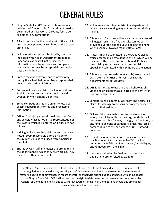# GENERAL RULES

- **1.** Oregon State Fair (OSF) competitions are open to residents of Oregon only. Entries do not need to be entered or have won at a county fair to be eligible for any competition.
- **2.** All articles must be the handiwork of the exhibitor and not been previously exhibited at the Oregon State Fair.
- **3.** Online entries must be submitted by the date indicated within each Department Handbook. Paper applications will not be accepted. Information must be accurate and complete. Walk-in entries may be accepted during intake days on a limited basis.
- **4.** Entries must be delivered and removed only during the scheduled times. Any exception shall be at the discretion of OSF staff.
- **5.** Entries will receive a claim check upon delivery. Exhibitor must present claim check or valid Oregon ID when picking up entries.
- **6.** Some competitions require an entry fee. See specific departments for fee and processing information.
- **7.** OSF staff or a judge may disqualify or transfer any exhibit which is not a true representation of the class in which it is entered or if rules are not followed.
- **8.** Judging is closed to the public unless otherwise noted. Every reasonable effort is made to secure highly qualified judges with expertise in their field.
- **9.** Entries by OSF staff and judges are prohibited in the department in which they are working. They may enter other departments.
- **10.** Volunteers who submit entries in a department in which they are working may not be present during judging.
- **11.** Ribbons and/or prizes will be awarded as warranted. All judges' results are final. Results cannot be provided over the phone but will be posted online when available. (www.oregonstatefair.org)
- **12.** Protests may be submitted to the Creative Living office accompanied by a deposit of \$25 which will be forfeited if the protest is not sustained. Protests must plainly state the cause of the complaint or appeal and submitted within 24 hours of the action.
- **13.** Ribbons and scorecards (as available) are provided with return of entries after Fair. See specific departments for return days.
- **14.** OSF is authorized to use any and all photographs, video and or digital images related to the entry for promotional purposes.
- **15.** Exhibitors shall indemnify OSF from and against all claims for damage to persons or property caused by them or their exhibits.
- **16.** OSF will take reasonable precautions to ensure safety of exhibits while on the fairgrounds, but will not be responsible for loss, damage, theft or injury of any kind to exhibits or exhibitors, unless the loss or damage is due to the negligence of OSF staff and volunteers.
- **17.** Exhibitors found in violation of rules, or to be in practices unethical or adverse to OSF, shall be penalized by forfeiture of awards and/or privileges, and removed from the exhibit.
- **18.** Items not picked up by final return days of each department are forfeited by exhibitor.

. and regulations contained in any and all parts of Department Handbooks and to settle and determine all The Oregon State Fair reserves the final and absolute right to interpret any and all terms, conditions, rules matters, questions or differences in regard thereto, or otherwise arising out of, connected with or incidental to the Oregon State Fair. OSF further reserves the right to determine unforeseen matters not covered by General or Competition Rules, and to withdraw award offerings in all Competitions should any emergency exist and circumstances demand.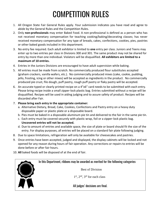# COMPETITION RULES

- 1. All Oregon State Fair General Rules apply. Your submission indicates you have read and agree to abide by the General Rules and the Competition Rules.
- 2. Only **non-professionals** may enter Baked Food. A non-professional is defined as a person who has not received monetary compensation for teaching cooking/baking/decorating classes; has never received monetary compensation for any type of breads, cakes, confections, cookies, pies, pastries or other baked goods included in this department.
- 3. No entry fee required. Each adult exhibitor is limited to **one** entry per class. Juniors and Teens may enter up to two entries per class in Divisions 300 and 301. The same product may not be shared for entry by more than one individual. Violators will be disqualified. **All exhibitors are limited to a maximum of 10 entries.**
- 4. Entries in the Juniors Divisions are encouraged to have adult supervision while baking.
- 5. All entries must be made from scratch. No commercially produced flour substitutes accepted (graham crackers, vanilla wafers, etc.). No commercially produced mixes (cake, cookie, pudding, jello, frosting, icing or other mixes) will be accepted as ingredients in the product. No commercially produced pie crust, filo dough, puff pastry, rough puff pastry or flaky pastry will be accepted.
- 6. An accurate typed or clearly printed recipe on a 4"x6" card needs to be submitted with each entry. Please bring recipe inside a small zipper-lock plastic bag. Entries submitted without a recipe will be disqualified. Recipes will be used in aiding judging and to assure safety of product. Recipes will be discarded after Fair.
- 7. **Please bring each entry in the appropriate container:**
	- a. Alternative Dietary, Bread, Cake, Cookies, Confections and Pastry entry on a heavy duty disposable paper or plastic plate or a disposable board.
	- b. Pies must be baked in a disposable aluminum pie tin and delivered to the fair in the same pie tin.
	- c. Each entry must be covered securely with plastic wrap, foil or a zipper-lock plastic bag. **Uncovered entries will not be accepted.**
	- d. Due to amount of entries and available space, the size of plate or board should fit the size of the entry. For display purposes, all entries will be placed on a standard fair plate following judging.
- 8. Due to space limitations, refrigeration will only be available for cheesecakes and pastries.
- 9. Once entries have been accepted, judged and displayed, the display cabinets will be locked and not opened for any reason during hours of fair operation. Any corrections or repairs to entries will be done before or after fair hours.
- 10. **All** baked foods will be disposed of at the end of fair.

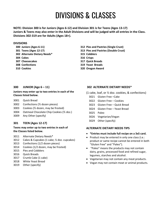# DIVISIONS & CLASSES

**NOTE: Division 300 is for Juniors (Ages 6-12) and Division 301 is for Teens (Ages 13-17) Juniors & Teens may also enter in the Adult Divisions and will be judged with all entries in the Class. Divisions 302-319 are for Adults (Ages 18+).**

### **DIVISIONS**

- **302 Alternate Dietary Needs\* 315 Cobblers 304 Cakes 316 Crisps**
- 
- 
- **300 Juniors (Ages 6-11) 312 Pies and Pastries (Single Crust)**
- **301 Teens (Ages 12-17) 313 Pies and Pastries (Double Crust)**
	-
	-
- **307 Cheesecakes 317 Quick Breads**
- **308 Confections 319 Yeast Breads**
- **310 Cookies 320 Oregon Award**

### **300 JUNIOR** (Age  $6 - 11$ )

### **Juniors may enter up to two entries in each of the Classes listed below.**

- 3001 Quick Bread
- 3002 Confections (½ dozen pieces)
- 3003 Cookies (½ dozen, may be frosted)
- 3004 Oatmeal Chocolate Chip Cookies (½ doz.)
- 3009 Any Other (specify)

# **301 TEEN (Ages 12-17)**

### **Teens may enter up to two entries in each of the Classes listed below.**

- 3011 Alternate Dietary Needs\*
- 3012 Cakes & Cupcakes (1 cake; ½ doz. cupcakes)
- 3013 Confections (1/2 dozen pieces)
- 3014 Cookies (1/2 dozen, may be frosted)
- 3015 Pies and Cobblers
- 3016 Quick Breads
- 3017 Crumb Cake (1 cake)
- 3018 White Yeast Bread
- 3019 Other (specify)

# **302 ALTERNATE DIETARY NEEDS\***

- (1 cake, loaf, or ½ doz. cookies, & confections)
	- 3021 Gluten Free –Cake
	- 3022 Gluten Free Cookies
	- 3023 Gluten Free Quick Bread
	- 3024 Gluten Free Yeast Bread
	- 3025 Paleo
	- 3026 Vegetarian/Vegan
	- 3029 Other (specify)

# **ALTERNATE DIETARY NEEDS TIPS**

- **\*Entries must include full recipe on a 3x5 card.**
- Product may be entered in only one class (i.e.: product or same recipe cannot be entered in both "Gluten Free" and "Paleo").
- "Paleo" means the products may not contain dairy, grains, processed food and refined sugar, legumes, starches and alcohol.
- Vegetarian may not contain any meat products.
- Vegan may not contain meat or animal products.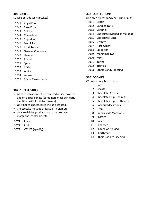# **304 CAKES**

(1 cake or ½ dozen cupcakes)

Angel Food

- Cake Pops
- Chiffon
- Chocolate
- Cupcakes
- Fruit Filled
- Fruit Topped
- German Chocolate
- Hazelnut
- Pound
- Spice
- Torte
- White
- Yellow
- Ethnic Cake (specify)

# **307 CHEESECAKES**

- All cheesecakes must be received on ice, covered and on disposal plate (containers must be clearly identified with Exhibitor's name).
- Only baked cheesecakes will be accepted.
- Cheesecake must be at least 6" in diameter.
- Only real dairy products are to be used no margarine, cool whip, etc.
- Plain
- Fruit
- OTHER (specify)

# **308 CONFECTIONS**

- (½ dozen pieces candy or 1 cup of nuts)
- Brittle
- Candied Nuts
- Caramel
- Chocolate (Dipped or Molded)
- Chocolate Fudge
- Divinity
- Hard Candy
- Lollipops
- Marshmallows
- Mints
- Toffee
- Truffles
- Ethnic Candy (specify)

# **310 COOKIES**

- (½ dozen; may be frosted)
- Bar
- Biscotti
- Chocolate Brownies
- Chocolate Chip no nuts
- Chocolate Chip with nuts
- Coconut Macaroons
- Drop
- French style Macarons
- Frosted
- Rolled
- Sandwich
- Shaped or Pressed
- Shortbread
- Ethnic Cookies (specify)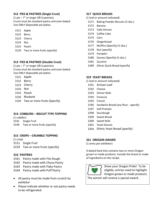# **312 PIES & PASTRIES (Single Crust)**

(1 pie – 7" or larger OR 6 pastries) Crusts must be standard pastry and oven baked. Use ONLY disposable pie plates.

- 3121 Apple
- 3122 Berry
- 3123 Cherry
- 3124 Nut
- 3125 Peach
- 3129 Two or more fruits (specify)

# **313 PIES & PASTRIES (Double Crust)**

(1 pie – 7" or larger OR 6 pastries) Crusts must be standard pastry and oven baked. Use ONLY disposable pie plates.

- 3131 Apple
- 3132 Berry
- 3133 Cherry
- 3134 Nut
- 3135 Peach
- 3136 Rhubarb
- 3139 Two or more fruits (Specify)

# **314 COBBLERS – BISCUIT TYPE TOPPING**

(1 cobbler) 3141 Single Fruit

3149 Two or more fruits (specify)

# **315 CRISPS – CRUMBLE TOPPING**

(1 crisp) 3151 Single Fruit 3159 Two or more fruits (specify)

# **316 PASTRIES**

- 3161 Pastry made with Filo Dough
- 3162 Pastry made with Choux Pastry
- 3163 Pastry made with Flaky Pastry
- 3164 Pastry made with Puff Pastry
- All pastry must be made from scratch by exhibitor
- Please indicate whether or not pastry needs to be refrigerated.

# **317 QUICK BREADS**

- (1 loaf or amount indicated)
- 3171 Baking Powder Biscuits (½ doz.)
- 3172 Banana
- 3173 Cake Donuts
- 3174 Coffee Cake
- 3175 Corn
- 3176 Gingerbread
- 3177 Muffins (Specify) (½ doz.)
- 3178 Nut (specify)
- 3179 Pumpkin
- 3180 Scones (Specify) (½ doz.)
- 3181 Zucchini
- 3189 Ethnic Quick Bread (specify)

### **319 YEAST BREADS**

- (1 loaf or amount indicated)
- 3191 Artisan Loaf
- 3192 Cheese
- 3193 Dinner Rolls
- 3194 Focaccia
- 3195 French
- 3196 Sandwich Bread (any flour specify)
- 3197 Soft Pretzels
- 3298 Sourdough
- 3299 Sweet Bread
- 3200 Sweet Rolls
- 3201 Yeast Donuts
- 3204 Ethnic Yeast Bread (specify)

# **321 OREGON AWARD**

(1 entry per exhibitor)

A baked food that contains two or more Oregon grown or made products. Include the brand or make of ingredients on the recipe.



Show your Oregon Pride! To be eligible, entries need to highlight Oregon grown or made products.

The winner will receive a special award.